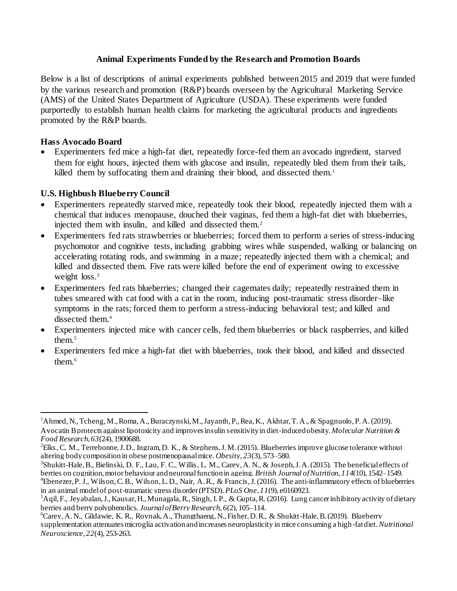### **Animal Experiments Funded by the Research and Promotion Boards**

Below is a list of descriptions of animal experiments published between 2015 and 2019 that were funded by the various research and promotion (R&P) boards overseen by the Agricultural Marketing Service (AMS) of the United States Department of Agriculture (USDA). These experiments were funded purportedly to establish human health claims for marketing the agricultural products and ingredients promoted by the R&P boards.

### **Hass Avocado Board**

l

 Experimenters fed mice a high-fat diet, repeatedly force-fed them an avocado ingredient, starved them for eight hours, injected them with glucose and insulin, repeatedly bled them from their tails, killed them by suffocating them and draining their blood, and dissected them.<sup>1</sup>

## **U.S. Highbush Blueberry Council**

- Experimenters repeatedly starved mice, repeatedly took their blood, repeatedly injected them with a chemical that induces menopause, douched their vaginas, fed them a high-fat diet with blueberries, injected them with insulin, and killed and dissected them.<sup>2</sup>
- Experimenters fed rats strawberries or blueberries; forced them to perform a series of stress-inducing psychomotor and cognitive tests, including grabbing wires while suspended, walking or balancing on accelerating rotating rods, and swimming in a maze; repeatedly injected them with a chemical; and killed and dissected them. Five rats were killed before the end of experiment owing to excessive weight loss.<sup>3</sup>
- Experimenters fed rats blueberries; changed their cagemates daily; repeatedly restrained them in tubes smeared with cat food with a cat in the room, inducing post-traumatic stress disorder–like symptoms in the rats; forced them to perform a stress-inducing behavioral test; and killed and dissected them.<sup>4</sup>
- Experimenters injected mice with cancer cells, fed them blueberries or black raspberries, and killed them.<sup>5</sup>
- Experimenters fed mice a high-fat diet with blueberries, took their blood, and killed and dissected them.<sup>6</sup>

in an animal model of post-traumatic stress disorder (PTSD). *PLoS One*, *11*(9), e0160923.

<sup>1</sup>Ahmed, N., Tcheng, M., Roma, A., Buraczynski, M., Jayanth, P., Rea, K., Akhtar, T. A.,& Spagnuolo, P. A. (2019). Avocatin B protects against lipotoxicity and improves insulin sensitivity in diet‐induced obesity. *Molecular Nutrition & Food Research*, *63*(24), 1900688.

<sup>2</sup>Elks, C. M., Terrebonne, J. D., Ingram, D. K., & Stephens, J. M. (2015). Blueberries improve glucose tolerance without altering body composition in obese postmenopausal mice. *Obesity*, *23*(3), 573–580.

<sup>&</sup>lt;sup>3</sup>Shukitt-Hale, B., Bielinski, D. F., Lau, F. C., Willis, L. M., Carey, A. N., & Joseph, J. A. (2015). The beneficial effects of berries on cognition, motor behaviour and neuronal function in ageing. *British Journal of Nutrition*, *114*(10), 1542–1549. <sup>4</sup>Ebenezer, P. J., Wilson, C. B., Wilson, L. D., Nair, A. R., & Francis, J.(2016). The anti-inflammatory effects of blueberries

<sup>5</sup>Aqil, F., Jeyabalan, J., Kausar, H., Munagala, R., Singh, I. P., & Gupta, R. (2016). Lung cancer inhibitory activity of dietary berries and berry polyphenolics. *Journal of Berry Research*, *6*(2), 105–114.

<sup>6</sup>Carey, A. N., Gildawie, K. R., Rovnak, A., Thangthaeng, N., Fisher, D. R., & Shukitt-Hale, B. (2019). Blueberry supplementation attenuates microglia activation and increases neuroplasticity in mice consuming a high -fat diet.*Nutritional Neuroscience*, *22*(4), 253-263.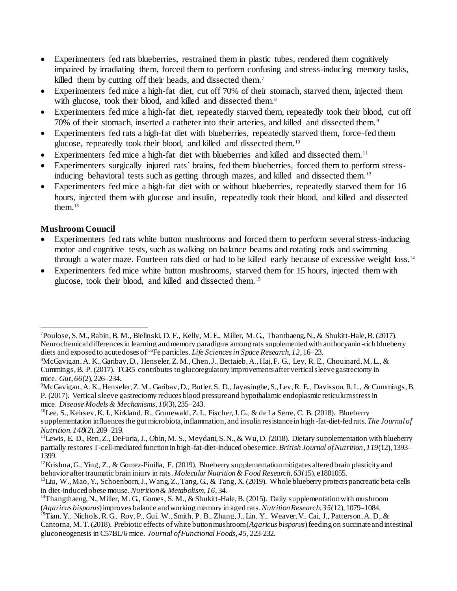- Experimenters fed rats blueberries, restrained them in plastic tubes, rendered them cognitively impaired by irradiating them, forced them to perform confusing and stress-inducing memory tasks, killed them by cutting off their heads, and dissected them.<sup>7</sup>
- Experimenters fed mice a high-fat diet, cut off 70% of their stomach, starved them, injected them with glucose, took their blood, and killed and dissected them.<sup>8</sup>
- Experimenters fed mice a high-fat diet, repeatedly starved them, repeatedly took their blood, cut off 70% of their stomach, inserted a catheter into their arteries, and killed and dissected them. <sup>9</sup>
- Experimenters fed rats a high-fat diet with blueberries, repeatedly starved them, force-fed them glucose, repeatedly took their blood, and killed and dissected them.<sup>10</sup>
- Experimenters fed mice a high-fat diet with blueberries and killed and dissected them.<sup>11</sup>
- Experimenters surgically injured rats' brains, fed them blueberries, forced them to perform stressinducing behavioral tests such as getting through mazes, and killed and dissected them.<sup>12</sup>
- Experimenters fed mice a high-fat diet with or without blueberries, repeatedly starved them for 16 hours, injected them with glucose and insulin, repeatedly took their blood, and killed and dissected them. $13$

# **Mushroom Council**

- Experimenters fed rats white button mushrooms and forced them to perform several stress-inducing motor and cognitive tests, such as walking on balance beams and rotating rods and swimming through a water maze. Fourteen rats died or had to be killed early because of excessive weight loss.<sup>14</sup>
- Experimenters fed mice white button mushrooms, starved them for 15 hours, injected them with glucose, took their blood, and killed and dissected them.<sup>15</sup>

j <sup>7</sup>Poulose, S. M., Rabin, B. M., Bielinski, D. F., Kelly, M. E., Miller, M. G., Thanthaeng, N., & Shukitt-Hale, B. (2017). Neurochemical differences in learning and memory paradigms among rats supplemented with anthocyanin -rich blueberry diets and exposed to acute doses of <sup>56</sup>Fe particles. *Life Sciences in Space Research*, *12*, 16–23.

 ${}^{8}$ McGavigan, A. K., Garibay, D., Henseler, Z. M., Chen, J., Bettaieb, A., Haj, F. G., Ley, R. E., Chouinard, M. L., & Cummings, B. P. (2017). TGR5 contributes to glucoregulatory improvements after vertical sleeve gastrectomy in mice. *Gut*, *66*(2), 226–234.

<sup>9</sup>McGavigan, A. K., Henseler, Z. M., Garibay, D., Butler, S. D., Jayasinghe, S., Ley, R. E., Davisson, R. L., & Cummings, B. P. (2017). Vertical sleeve gastrectomy reduces blood pressure and hypothalamic endoplasmic reticulum stress in mice. *Disease Models & Mechanisms*, *10*(3), 235–243.

<sup>10</sup>Lee, S., Keirsey, K. I., Kirkland, R., Grunewald, Z. I., Fischer, J. G., & de La Serre, C. B. (2018). Blueberry supplementation influences the gut microbiota, inflammation, and insulin resistance in high-fat-diet-fed rats. *The Journal of Nutrition*, *148*(2), 209–219.

 $11$ Lewis, E. D., Ren, Z., DeFuria, J., Obin, M. S., Meydani, S. N., & Wu, D. (2018). Dietary supplementation with blueberry partially restores T-cell-mediated function in high-fat-diet-induced obese mice.*British Journal of Nutrition*, *119*(12), 1393– 1399.

<sup>&</sup>lt;sup>12</sup>Krishna, G., Ying, Z., & Gomez-Pinilla, F. (2019). Blueberry supplementation mitigates altered brain plasticity and behavior after traumatic brain injury in rats. *Molecular Nutrition & Food Research*, *63*(15), e1801055.

 $13$ Liu, W., Mao, Y., Schoenborn, J., Wang, Z., Tang, G., & Tang, X. (2019). Whole blueberry protects pancreatic beta-cells in diet-induced obese mouse.*Nutrition & Metabolism*, *16*, 34.

<sup>&</sup>lt;sup>14</sup>Thangthaeng, N., Miller, M. G., Gomes, S. M., & Shukitt-Hale, B. (2015). Daily supplementation with mushroom (*Agaricus bisporus*) improves balance and working memory in aged rats. *Nutrition Research*, *35*(12), 1079–1084.

<sup>&</sup>lt;sup>15</sup>Tian, Y., Nichols, R. G., Rov, P., Gui, W., Smith, P. B., Zhang, J., Lin, Y., Weaver, V., Cai, J., Patterson, A. D., & Cantorna, M. T. (2018). Prebiotic effects of white button mushroom (*Agaricus bisporus*) feeding on succinate and intestinal gluconeogenesis in C57BL/6 mice. *Journal of Functional Foods*, *45*, 223-232.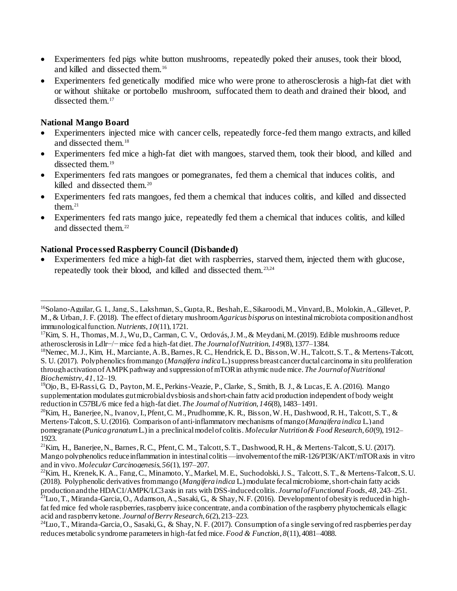- Experimenters fed pigs white button mushrooms, repeatedly poked their anuses, took their blood, and killed and dissected them.<sup>16</sup>
- Experimenters fed genetically modified mice who were prone to atherosclerosis a high-fat diet with or without shiitake or portobello mushroom, suffocated them to death and drained their blood, and dissected them.<sup>17</sup>

### **National Mango Board**

- Experimenters injected mice with cancer cells, repeatedly force-fed them mango extracts, and killed and dissected them.<sup>18</sup>
- Experimenters fed mice a high-fat diet with mangoes, starved them, took their blood, and killed and dissected them.<sup>19</sup>
- Experimenters fed rats mangoes or pomegranates, fed them a chemical that induces colitis, and killed and dissected them.<sup>20</sup>
- Experimenters fed rats mangoes, fed them a chemical that induces colitis, and killed and dissected them. $21$
- Experimenters fed rats mango juice, repeatedly fed them a chemical that induces colitis, and killed and dissected them.<sup>22</sup>

### **National Processed Raspberry Council (Disbanded)**

 Experimenters fed mice a high-fat diet with raspberries, starved them, injected them with glucose, repeatedly took their blood, and killed and dissected them.23,24

j <sup>16</sup>Solano-Aguilar, G. I., Jang, S., Lakshman, S., Gupta, R., Beshah, E., Sikaroodi, M., Vinyard, B., Molokin, A., Gillevet, P. M.,& Urban, J. F. (2018). The effect of dietary mushroom *Agaricus bisporus* on intestinal microbiota composition and host immunological function.*Nutrients*, *10*(11), 1721.

<sup>&</sup>lt;sup>17</sup>Kim, S. H., Thomas, M. J., Wu, D., Carman, C. V., Ordovás, J. M., & Meydani, M. (2019). Edible mushrooms reduce atherosclerosis in Ldlr−/− mice fed a high-fat diet. *The Journal of Nutrition*, *149*(8), 1377–1384.

<sup>18</sup>Nemec, M. J., Kim, H., Marciante, A. B., Barnes, R. C., Hendrick, E. D., Bisson, W. H., Talcott, S. T., & Mertens-Talcott, S. U. (2017). Polyphenolics from mango (*Mangifera indica*L.) suppress breast cancer ductal carcinoma in situ proliferation through activation of AMPK pathway and suppression of mTOR in athymic nude mice. *The Journal of Nutritional Biochemistry*, *41*, 12–19.

<sup>19</sup>Ojo, B., El-Rassi, G. D., Payton, M. E., Perkins-Veazie, P., Clarke, S., Smith, B. J., & Lucas, E. A. (2016). Mango supplementation modulates gut microbial dysbiosis and short-chain fatty acid production independent of body weight reduction in C57BL/6 mice fed a high-fat diet. *The Journal of Nutrition*, *146*(8), 1483–1491.

 $^{20}$ Kim, H., Banerjee, N., Ivanov, I., Pfent, C. M., Prudhomme, K. R., Bisson, W. H., Dashwood, R. H., Talcott, S. T., & Mertens‐Talcott, S. U. (2016). Comparison of anti‐inflammatory mechanisms of mango (*Mangifera indica* L.) and pomegranate (*Punica granatum*L.) in a preclinical model of colitis. *Molecular Nutrition & Food Research*, *60*(9), 1912– 1923.

 $^{21}$ Kim, H., Banerjee, N., Barnes, R.C., Pfent, C.M., Talcott, S.T., Dashwood, R.H., & Mertens-Talcott, S.U. (2017). Mango polyphenolics reduce inflammation in intestinal colitis—involvement of the miR-126/PI3K/AKT/mTOR axis in vitro and in vivo. *MolecularCarcinogenesis*, *56*(1), 197–207.

 $^{22}$ Kim, H., Krenek, K. A., Fang, C., Minamoto, Y., Markel, M. E., Suchodolski, J. S., Talcott, S. T., & Mertens-Talcott, S. U. (2018). Polyphenolic derivatives from mango (*Mangifera indica* L.) modulate fecal microbiome, short-chain fatty acids production and the HDAC1/AMPK/LC3 axis in rats with DSS-induced colitis. *Journal of Functional Foods*, *48*, 243–251.

 $^{23}$ Luo, T., Miranda-Garcia, O., Adamson, A., Sasaki, G., & Shay, N. F. (2016). Development of obesity is reduced in highfat fed mice fed whole raspberries, raspberry juice concentrate, and a combination of the raspberry phytochemicals ellagic acid and raspberry ketone. *Journal of Berry Research*, *6*(2), 213–223.

 $24$ Luo, T., Miranda-Garcia, O., Sasaki, G., & Shay, N. F. (2017). Consumption of a single serving of red raspberries per day reduces metabolic syndrome parameters in high-fat fed mice.*Food & Function*, *8*(11), 4081–4088.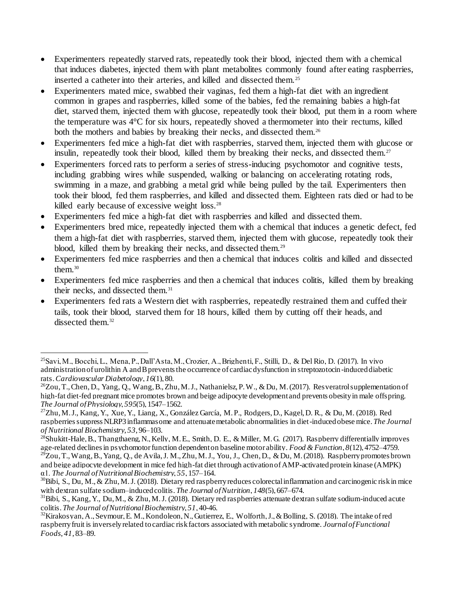- Experimenters repeatedly starved rats, repeatedly took their blood, injected them with a chemical that induces diabetes, injected them with plant metabolites commonly found after eating raspberries, inserted a catheter into their arteries, and killed and dissected them. <sup>25</sup>
- Experimenters mated mice, swabbed their vaginas, fed them a high-fat diet with an ingredient common in grapes and raspberries, killed some of the babies, fed the remaining babies a high-fat diet, starved them, injected them with glucose, repeatedly took their blood, put them in a room where the temperature was 4°C for six hours, repeatedly shoved a thermometer into their rectums, killed both the mothers and babies by breaking their necks, and dissected them.<sup>26</sup>
- Experimenters fed mice a high-fat diet with raspberries, starved them, injected them with glucose or insulin, repeatedly took their blood, killed them by breaking their necks, and dissected them.<sup>27</sup>
- Experimenters forced rats to perform a series of stress-inducing psychomotor and cognitive tests, including grabbing wires while suspended, walking or balancing on accelerating rotating rods, swimming in a maze, and grabbing a metal grid while being pulled by the tail. Experimenters then took their blood, fed them raspberries, and killed and dissected them. Eighteen rats died or had to be killed early because of excessive weight loss.<sup>28</sup>
- Experimenters fed mice a high-fat diet with raspberries and killed and dissected them.
- Experimenters bred mice, repeatedly injected them with a chemical that induces a genetic defect, fed them a high-fat diet with raspberries, starved them, injected them with glucose, repeatedly took their blood, killed them by breaking their necks, and dissected them.<sup>29</sup>
- Experimenters fed mice raspberries and then a chemical that induces colitis and killed and dissected them. $30$
- Experimenters fed mice raspberries and then a chemical that induces colitis, killed them by breaking their necks, and dissected them.<sup>31</sup>
- Experimenters fed rats a Western diet with raspberries, repeatedly restrained them and cuffed their tails, took their blood, starved them for 18 hours, killed them by cutting off their heads, and dissected them.<sup>32</sup>

l <sup>25</sup>Savi, M., Bocchi, L., Mena, P., Dall'Asta, M., Crozier, A., Brighenti, F., Stilli, D., & Del Rio, D. (2017). In vivo administration of urolithin A and B prevents the occurrence of cardiac dysfunction in streptozotocin-induced diabetic rats.*Cardiovascular Diabetology*, *16*(1), 80.

<sup>&</sup>lt;sup>26</sup>Zou, T., Chen, D., Yang, Q., Wang, B., Zhu, M. J., Nathanielsz, P. W., & Du, M. (2017). Resveratrol supplementation of high-fat diet-fed pregnant mice promotes brown and beige adipocyte development and prevents obesity in male offspring. *The Journal of Physiology*, *595*(5), 1547–1562.

<sup>27</sup>Zhu, M. J., Kang, Y., Xue, Y., Liang, X., González García, M. P., Rodgers, D., Kagel, D. R., & Du, M. (2018). Red raspberries suppress NLRP3 inflammasome and attenuate metabolic abnormalities in diet-induced obese mice. *The Journal of Nutritional Biochemistry*, *53*, 96–103.

<sup>&</sup>lt;sup>28</sup>Shukitt-Hale, B., Thangthaeng, N., Kelly, M. E., Smith, D. E., & Miller, M. G. (2017). Raspberry differentially improves age-related declines in psychomotor function dependent on baseline motor ability. *Food & Function*, *8*(12), 4752–4759.  $^{29}Z$ ou, T., Wang, B., Yang, Q., de Avila, J. M., Zhu, M. J., You, J., Chen, D., & Du, M. (2018). Raspberry promotes brown

and beige adipocyte development in mice fed high-fat diet through activation of AMP-activated protein kinase (AMPK) α1. *The Journal of Nutritional Biochemistry*, *55*, 157–164.

<sup>&</sup>lt;sup>30</sup>Bibi, S., Du, M., & Zhu, M.J. (2018). Dietary red raspberry reduces colorectal inflammation and carcinogenic risk in mice with dextran sulfate sodium–induced colitis. *The Journal ofNutrition*, *148*(5), 667–674.

<sup>&</sup>lt;sup>31</sup>Bibi, S., Kang, Y., Du, M., & Zhu, M. J. (2018). Dietary red raspberries attenuate dextran sulfate sodium-induced acute colitis. *The Journal of Nutritional Biochemistry*, *51*, 40-46.

<sup>&</sup>lt;sup>32</sup>Kirakos van, A., Seymour, E. M., Kondoleon, N., Gutierrez, E., Wolforth, J., & Bolling, S. (2018). The intake of red raspberry fruit is inversely related to cardiac risk factors associated with metabolic syndrome. *Journal of Functional Foods*, *41*, 83–89.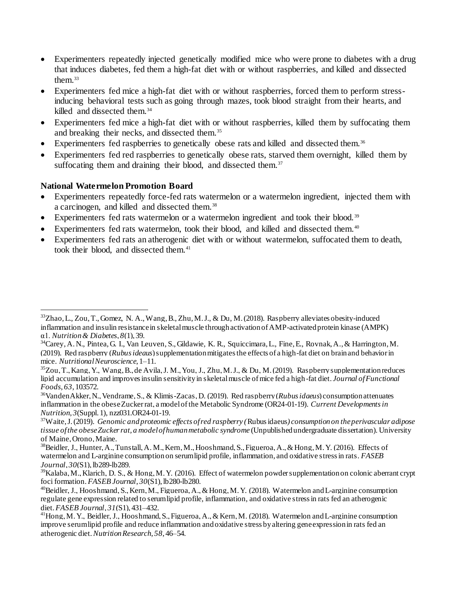- Experimenters repeatedly injected genetically modified mice who were prone to diabetes with a drug that induces diabetes, fed them a high-fat diet with or without raspberries, and killed and dissected them $33$
- Experimenters fed mice a high-fat diet with or without raspberries, forced them to perform stressinducing behavioral tests such as going through mazes, took blood straight from their hearts, and killed and dissected them.<sup>34</sup>
- Experimenters fed mice a high-fat diet with or without raspberries, killed them by suffocating them and breaking their necks, and dissected them.<sup>35</sup>
- Experimenters fed raspberries to genetically obese rats and killed and dissected them.<sup>36</sup>
- Experimenters fed red raspberries to genetically obese rats, starved them overnight, killed them by suffocating them and draining their blood, and dissected them.<sup>37</sup>

### **National Watermelon Promotion Board**

- Experimenters repeatedly force-fed rats watermelon or a watermelon ingredient, injected them with a carcinogen, and killed and dissected them.<sup>38</sup>
- Experimenters fed rats watermelon or a watermelon ingredient and took their blood.<sup>39</sup>
- Experimenters fed rats watermelon, took their blood, and killed and dissected them.<sup>40</sup>
- Experimenters fed rats an atherogenic diet with or without watermelon, suffocated them to death, took their blood, and dissected them.<sup>41</sup>

j <sup>33</sup>Zhao, L., Zou, T., Gomez, N. A., Wang, B., Zhu, M. J., & Du, M. (2018). Raspberry alleviates obesity-induced inflammation and insulin resistance in skeletal muscle through activation of AMP-activated protein kinase (AMPK) α1. *Nutrition & Diabetes*, *8*(1), 39.

<sup>34</sup>Carey, A. N., Pintea, G. I., Van Leuven, S., Gildawie, K. R., Squiccimara, L., Fine, E., Rovnak, A.,& Harrington, M. (2019). Red raspberry (*Rubus ideaus*) supplementation mitigates the effects of a high-fat diet on brain and behavior in mice. *Nutritional Neuroscience*, 1–11.

 $35$ Zou, T., Kang, Y., Wang, B., de Avila, J. M., You, J., Zhu, M. J., & Du, M. (2019). Raspberry supplementation reduces lipid accumulation and improves insulin sensitivity in skeletal muscle of mice fed a high-fat diet. *Journal of Functional Foods*, *63*, 103572.

<sup>36</sup>VandenAkker, N., Vendrame, S., & Klimis-Zacas, D. (2019). Red raspberry (*Rubus idaeus*) consumption attenuates inflammation in the obese Zucker rat, a model of the Metabolic Syndrome (OR24-01-19). *Current Developments in Nutrition*, *3*(Suppl. 1), nzz031.OR24-01-19.

<sup>37</sup>Waite, J. (2019). *Genomic and proteomic effects of red raspberry (*Rubus idaeus*) consumption on the perivascular adipose tissue of the obese Zucker rat, a model of human metabolic syndrome* (Unpublished undergraduate dissertation). University of Maine, Orono, Maine.

 $38$ Beidler, J., Hunter, A., Tunstall, A. M., Kern, M., Hooshmand, S., Figueroa, A., & Hong, M. Y. (2016). Effects of watermelon and L-arginine consumption on serum lipid profile, inflammation, and oxidative stress in rats. *FASEB Journal*, *30*(S1), lb289-lb289.

<sup>&</sup>lt;sup>39</sup>Kalaba, M., Klarich, D. S., & Hong, M. Y. (2016). Effect of watermelon powder supplementation on colonic aberrant crypt foci formation.*FASEB Journal*, *30*(S1), lb280-lb280.

<sup>&</sup>lt;sup>40</sup>Beidler, J., Hooshmand, S., Kern, M., Figueroa, A., & Hong, M.Y. (2018). Watermelon and L-arginine consumption regulate gene expression related to serum lipid profile, inflammation, and oxidative stress in rats fed an atherogenic diet.*FASEB Journal*, *31*(S1), 431–432.

<sup>&</sup>lt;sup>41</sup>Hong, M. Y., Beidler, J., Hooshmand, S., Figueroa, A., & Kern, M. (2018). Watermelon and L-arginine consumption improve serum lipid profile and reduce inflammation and oxidative stress by altering gene expression in rats fed an atherogenic diet.*Nutrition Research*, *58*, 46–54.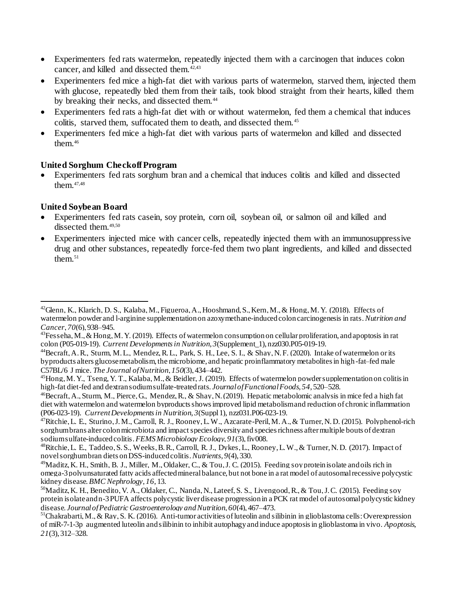- Experimenters fed rats watermelon, repeatedly injected them with a carcinogen that induces colon cancer, and killed and dissected them.<sup>42,43</sup>
- Experimenters fed mice a high-fat diet with various parts of watermelon, starved them, injected them with glucose, repeatedly bled them from their tails, took blood straight from their hearts, killed them by breaking their necks, and dissected them.<sup>44</sup>
- Experimenters fed rats a high-fat diet with or without watermelon, fed them a chemical that induces colitis, starved them, suffocated them to death, and dissected them. <sup>45</sup>
- Experimenters fed mice a high-fat diet with various parts of watermelon and killed and dissected them.<sup>46</sup>

## **United Sorghum Checkoff Program**

 Experimenters fed rats sorghum bran and a chemical that induces colitis and killed and dissected them.47,48

# **United Soybean Board**

l

- Experimenters fed rats casein, soy protein, corn oil, soybean oil, or salmon oil and killed and dissected them.<sup>49,50</sup>
- Experimenters injected mice with cancer cells, repeatedly injected them with an immunosuppressive drug and other substances, repeatedly force-fed them two plant ingredients, and killed and dissected them. $51$

<sup>&</sup>lt;sup>42</sup>Glenn, K., Klarich, D. S., Kalaba, M., Figueroa, A., Hooshmand, S., Kern, M., & Hong, M. Y. (2018). Effects of watermelon powder and l-arginine supplementation on azoxymethane-induced colon carcinogenesis in rats.*Nutrition and Cancer*, *70*(6), 938–945.

<sup>&</sup>lt;sup>43</sup>Fesseha, M., & Hong, M. Y. (2019). Effects of watermelon consumption on cellular proliferation, and apoptosis in rat colon (P05-019-19). *Current Developments in Nutrition*, *3*(Supplement\_1), nzz030.P05-019-19.

<sup>&</sup>lt;sup>44</sup>Becraft, A. R., Sturm, M. L., Mendez, R. L., Park, S. H., Lee, S. I., & Shay, N. F. (2020). Intake of watermelon or its byproducts alters glucose metabolism, the microbiome, and hepatic proinflammatory metabolites in high -fat–fed male C57BL/6 J mice. *The Journal of Nutrition*, *150*(3), 434–442.

 $^{45}$ Hong, M. Y., Tseng, Y. T., Kalaba, M., & Beidler, J. (2019). Effects of watermelon powder supplementation on colitis in high-fat diet-fed and dextran sodium sulfate-treated rats. *Journal of Functional Foods*, *54*, 520–528.

<sup>&</sup>lt;sup>46</sup>Becraft, A., Sturm, M., Pierce, G., Mendez, R., & Shay, N. (2019). Hepatic metabolomic analysis in mice fed a high fat diet with watermelon and watermelon byproducts shows improved lipid metabolism and reduction of chronic inflammation (P06-023-19). *Current Developments in Nutrition*, *3*(Suppl1), nzz031.P06-023-19.

<sup>47</sup>Ritchie, L. E., Sturino, J. M., Carroll, R. J., Rooney, L. W., Azcarate-Peril, M. A., & Turner, N. D. (2015). Polyphenol-rich sorghum brans alter colon microbiota and impact species diversity and species richness after multiple bouts of dextran sodium sulfate-induced colitis.*FEMS Microbiology Ecology*, *91*(3), fiv008.

 $^{48}$ Ritchie, L. E., Taddeo, S. S., Weeks, B. R., Carroll, R. J., Dykes, L., Rooney, L. W., & Turner, N. D. (2017). Impact of novel sorghum bran diets on DSS-induced colitis.*Nutrients*, *9*(4), 330.

 $^{49}$ Maditz, K. H., Smith, B. J., Miller, M., Oldaker, C., & Tou, J. C. (2015). Feeding soy protein isolate and oils rich in omega-3 polyunsaturated fatty acids affected mineral balance, but not bone in a rat model of autosomal recessive polycystic kidney disease.*BMC Nephrology*, *16*, 13.

<sup>&</sup>lt;sup>50</sup>Maditz, K. H., Benedito, V. A., Oldaker, C., Nanda, N., Lateef, S. S., Livengood, R., & Tou, J. C. (2015). Feeding soy protein isolate and n-3 PUFA affects polycystic liver disease progression in a PCK rat model of autosomal polycystic kidney disease. *Journal of Pediatric Gastroenterology and Nutrition*, *60*(4), 467–473.

<sup>&</sup>lt;sup>51</sup>Chakrabarti, M., & Ray, S. K. (2016). Anti-tumor activities of luteolin and silibinin in glioblastoma cells: Overexpression of miR-7-1-3p augmented luteolin and silibinin to inhibit autophagy and induce apoptosis in glioblastoma in vivo. *Apoptosis*, *21*(3), 312–328.